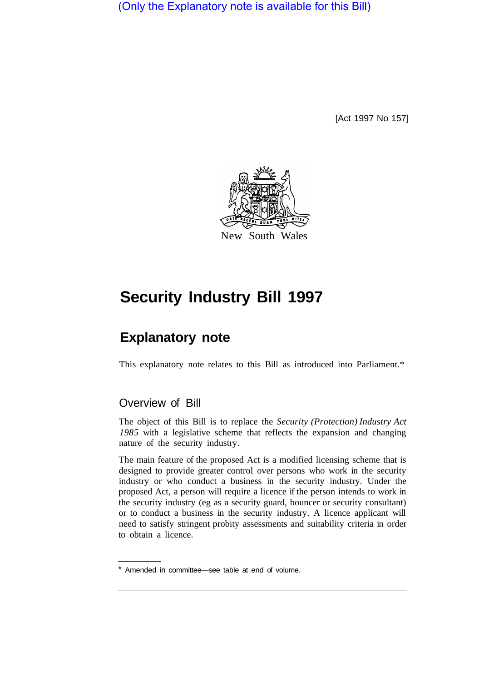(Only the Explanatory note is available for this Bill)

[Act 1997 No 157]



# **Security Industry Bill 1997**

## **Explanatory note**

This explanatory note relates to this Bill as introduced into Parliament.\*

## Overview of Bill

The object of this Bill is to replace the *Security (Protection) Industry Act 1985* with a legislative scheme that reflects the expansion and changing nature of the security industry.

The main feature of the proposed Act is a modified licensing scheme that is designed to provide greater control over persons who work in the security industry or who conduct a business in the security industry. Under the proposed Act, a person will require a licence if the person intends to work in the security industry (eg as a security guard, bouncer or security consultant) or to conduct a business in the security industry. A licence applicant will need to satisfy stringent probity assessments and suitability criteria in order to obtain a licence.

<sup>\*</sup> Amended in committee—see table at end of volume.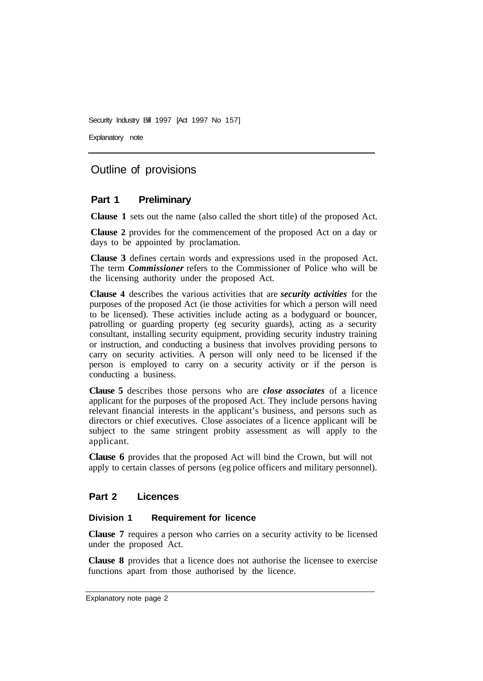Explanatory note

## Outline of provisions

### **Part 1 Preliminary**

**Clause 1** sets out the name (also called the short title) of the proposed Act.

**Clause 2** provides for the commencement of the proposed Act on a day or days to be appointed by proclamation.

**Clause 3** defines certain words and expressions used in the proposed Act. The term *Commissioner* refers to the Commissioner of Police who will be the licensing authority under the proposed Act.

**Clause 4** describes the various activities that are *security activities* for the purposes of the proposed Act (ie those activities for which a person will need to be licensed). These activities include acting as a bodyguard or bouncer, patrolling or guarding property (eg security guards), acting as a security consultant, installing security equipment, providing security industry training or instruction, and conducting a business that involves providing persons to carry on security activities. A person will only need to be licensed if the person is employed to carry on a security activity or if the person is conducting a business.

**Clause 5** describes those persons who are *close associates* of a licence applicant for the purposes of the proposed Act. They include persons having relevant financial interests in the applicant's business, and persons such as directors or chief executives. Close associates of a licence applicant will be subject to the same stringent probity assessment as will apply to the applicant.

**Clause 6** provides that the proposed Act will bind the Crown, but will not apply to certain classes of persons (eg police officers and military personnel).

#### **Part 2 Licences**

#### **Division 1 Requirement for licence**

**Clause 7** requires a person who carries on a security activity to be licensed under the proposed Act.

**Clause 8** provides that a licence does not authorise the licensee to exercise functions apart from those authorised by the licence.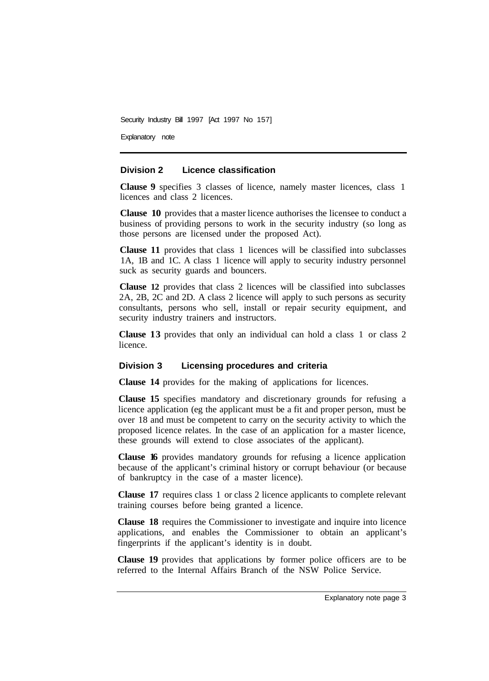Explanatory note

#### **Division 2 Licence classification**

**Clause 9** specifies 3 classes of licence, namely master licences, class 1 licences and class 2 licences.

**Clause 10** provides that a master licence authorises the licensee to conduct a business of providing persons to work in the security industry (so long as those persons are licensed under the proposed Act).

**Clause 11** provides that class 1 licences will be classified into subclasses 1A, 1B and 1C. A class 1 licence will apply to security industry personnel suck as security guards and bouncers.

**Clause 12** provides that class 2 licences will be classified into subclasses 2A, 2B, 2C and 2D. A class 2 licence will apply to such persons as security consultants, persons who sell, install or repair security equipment, and security industry trainers and instructors.

**Clause 13** provides that only an individual can hold a class 1 or class 2 licence.

#### **Division 3 Licensing procedures and criteria**

**Clause 14** provides for the making of applications for licences.

**Clause 15** specifies mandatory and discretionary grounds for refusing a licence application (eg the applicant must be a fit and proper person, must be over 18 and must be competent to carry on the security activity to which the proposed licence relates. In the case of an application for a master licence, these grounds will extend to close associates of the applicant).

**Clause 16** provides mandatory grounds for refusing a licence application because of the applicant's criminal history or corrupt behaviour (or because of bankruptcy in the case of a master licence).

**Clause 17** requires class 1 or class 2 licence applicants to complete relevant training courses before being granted a licence.

**Clause 18** requires the Commissioner to investigate and inquire into licence applications, and enables the Commissioner to obtain an applicant's fingerprints if the applicant's identity is in doubt.

**Clause 19** provides that applications by former police officers are to be referred to the Internal Affairs Branch of the NSW Police Service.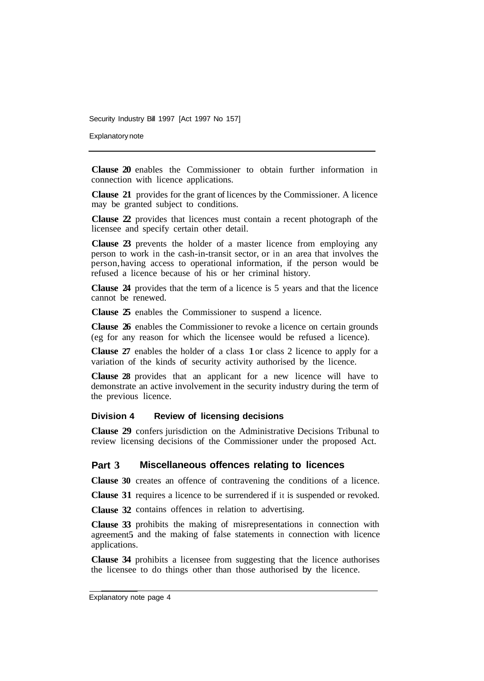Explanatory note

**Clause 20** enables the Commissioner to obtain further information in connection with licence applications.

**Clause 21** provides for the grant of licences by the Commissioner. A licence may be granted subject to conditions.

**Clause 22** provides that licences must contain a recent photograph of the licensee and specify certain other detail.

**Clause 23** prevents the holder of a master licence from employing any person to work in the cash-in-transit sector, or in an area that involves the person, having access to operational information, if the person would be refused a licence because of his or her criminal history.

**Clause 24** provides that the term of a licence is 5 years and that the licence cannot be renewed.

**Clause 25** enables the Commissioner to suspend a licence.

**Clause 26** enables the Commissioner to revoke a licence on certain grounds (eg for any reason for which the licensee would be refused a licence).

**Clause 27** enables the holder of a class 1 or class 2 licence to apply for a variation of the kinds of security activity authorised by the licence.

**Clause 28** provides that an applicant for a new licence will have to demonstrate an active involvement in the security industry during the term of the previous licence.

#### **Division 4 Review of licensing decisions**

**Clause 29** confers jurisdiction on the Administrative Decisions Tribunal to review licensing decisions of the Commissioner under the proposed Act.

#### **Part 3 Miscellaneous offences relating to licences**

**Clause 30**  creates an offence of contravening the conditions of a licence.

**Clause 31** requires a licence to be surrendered if it is suspended or revoked.

**Clause 32** contains offences in relation to advertising.

**Clause 33** prohibits the making of misrepresentations in connection with agreement5 and the making of false statements in connection with licence applications.

**Clause 34** prohibits a licensee from suggesting that the licence authorises the licensee to do things other than those authorised by the licence.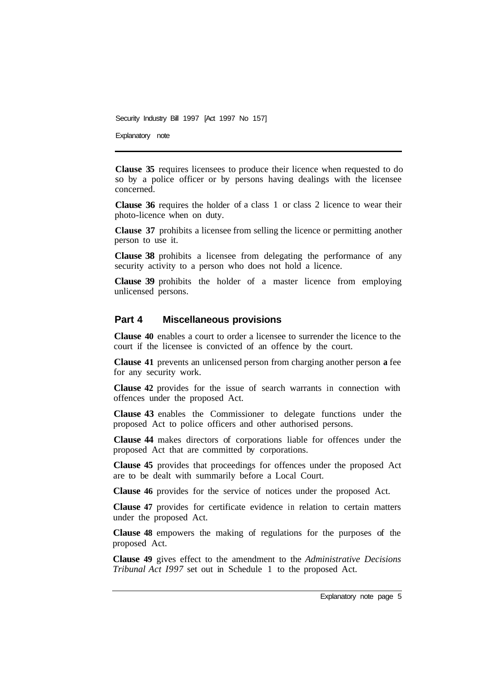Explanatory note

so by a police officer or by persons having dealings with the licensee concerned. **Clause 35** requires licensees to produce their licence when requested to do

Clause 36 requires the holder of a class 1 or class 2 licence to wear their photo-licence when on duty.

**Clause 37** prohibits a licensee from selling the licence or permitting another person to use it.

**Clause 38** prohibits a licensee from delegating the performance of any security activity to a person who does not hold a licence.

**Clause 39** prohibits the holder of a master licence from employing unlicensed persons.

#### **Part 4 Miscellaneous provisions**

**Clause 40** enables a court to order a licensee to surrender the licence to the court if the licensee is convicted of an offence by the court.

**Clause 41** prevents an unlicensed person from charging another person **a** fee for any security work.

**Clause 42** provides for the issue of search warrants in connection with offences under the proposed Act.

**Clause 43** enables the Commissioner to delegate functions under the proposed Act to police officers and other authorised persons.

**Clause 44** makes directors of corporations liable for offences under the proposed Act that are committed by corporations.

**Clause 45** provides that proceedings for offences under the proposed Act are to be dealt with summarily before a Local Court.

**Clause 46** provides for the service of notices under the proposed Act.

**Clause 47** provides for certificate evidence in relation to certain matters under the proposed Act.

**Clause 48** empowers the making of regulations for the purposes of the proposed Act.

**Clause 49** gives effect to the amendment to the *Administrative Decisions Tribunal Act I997* set out in Schedule 1 to the proposed Act.